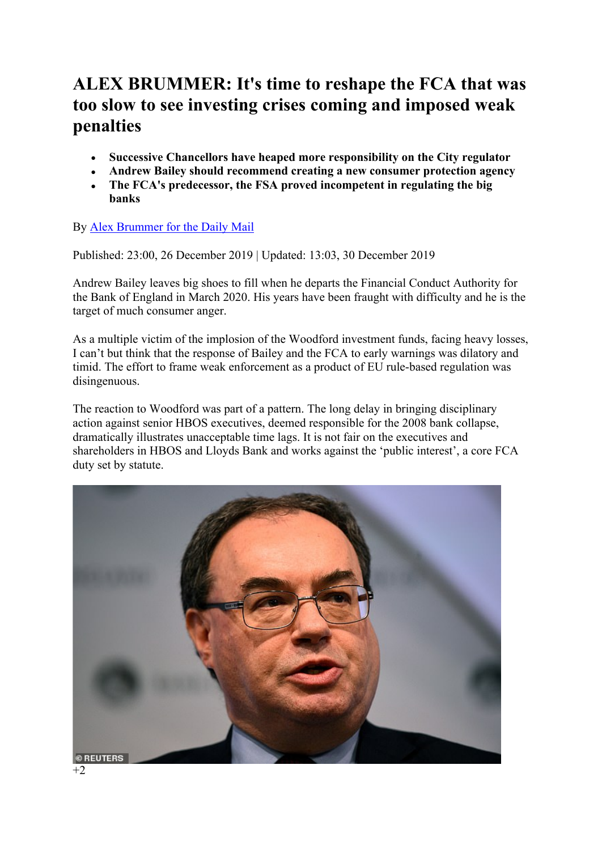## **ALEX BRUMMER: It's time to reshape the FCA that was too slow to see investing crises coming and imposed weak penalties**

- **Successive Chancellors have heaped more responsibility on the City regulator**
- **Andrew Bailey should recommend creating a new consumer protection agency**
- **The FCA's predecessor, the FSA proved incompetent in regulating the big banks**

By Alex Brummer for the Daily Mail

Published: 23:00, 26 December 2019 | Updated: 13:03, 30 December 2019

Andrew Bailey leaves big shoes to fill when he departs the Financial Conduct Authority for the Bank of England in March 2020. His years have been fraught with difficulty and he is the target of much consumer anger.

As a multiple victim of the implosion of the Woodford investment funds, facing heavy losses, I can't but think that the response of Bailey and the FCA to early warnings was dilatory and timid. The effort to frame weak enforcement as a product of EU rule-based regulation was disingenuous.

The reaction to Woodford was part of a pattern. The long delay in bringing disciplinary action against senior HBOS executives, deemed responsible for the 2008 bank collapse, dramatically illustrates unacceptable time lags. It is not fair on the executives and shareholders in HBOS and Lloyds Bank and works against the 'public interest', a core FCA duty set by statute.

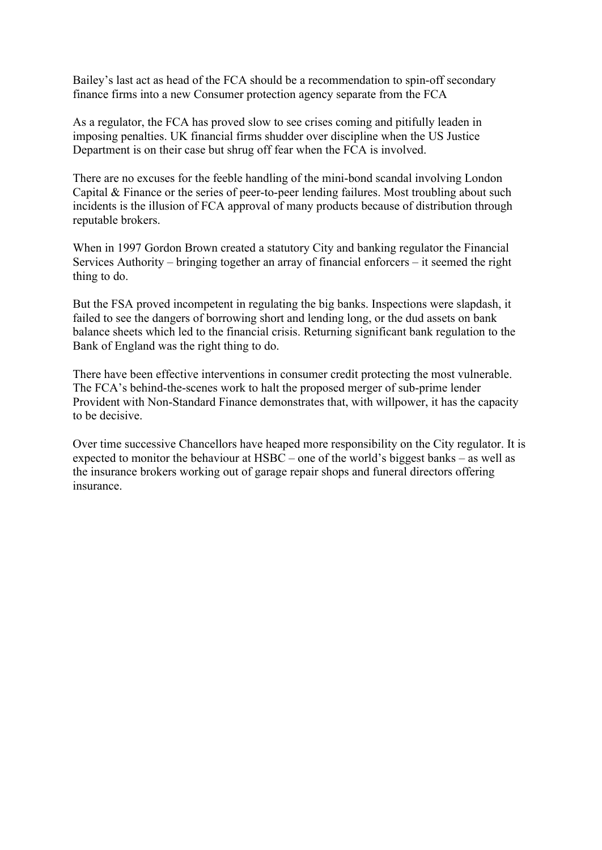Bailey's last act as head of the FCA should be a recommendation to spin-off secondary finance firms into a new Consumer protection agency separate from the FCA

As a regulator, the FCA has proved slow to see crises coming and pitifully leaden in imposing penalties. UK financial firms shudder over discipline when the US Justice Department is on their case but shrug off fear when the FCA is involved.

There are no excuses for the feeble handling of the mini-bond scandal involving London Capital & Finance or the series of peer-to-peer lending failures. Most troubling about such incidents is the illusion of FCA approval of many products because of distribution through reputable brokers.

When in 1997 Gordon Brown created a statutory City and banking regulator the Financial Services Authority – bringing together an array of financial enforcers – it seemed the right thing to do.

But the FSA proved incompetent in regulating the big banks. Inspections were slapdash, it failed to see the dangers of borrowing short and lending long, or the dud assets on bank balance sheets which led to the financial crisis. Returning significant bank regulation to the Bank of England was the right thing to do.

There have been effective interventions in consumer credit protecting the most vulnerable. The FCA's behind-the-scenes work to halt the proposed merger of sub-prime lender Provident with Non-Standard Finance demonstrates that, with willpower, it has the capacity to be decisive.

Over time successive Chancellors have heaped more responsibility on the City regulator. It is expected to monitor the behaviour at HSBC – one of the world's biggest banks – as well as the insurance brokers working out of garage repair shops and funeral directors offering insurance.